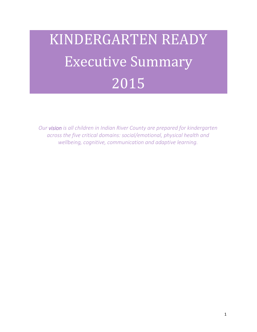# KINDERGARTEN READY Executive Summary 2015

*Our vision is all children in Indian River County are prepared for kindergarten across the five critical domains: social/emotional, physical health and wellbeing, cognitive, communication and adaptive learning.*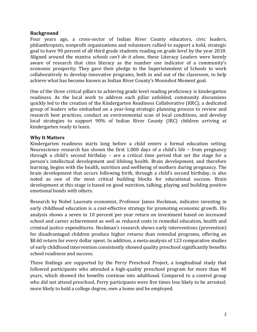## **Background**

Four years ago, a cross-sector of Indian River County educators, civic leaders, philanthropists, nonprofit organizations and volunteers rallied to support a bold, strategic goal to have 90 percent of all third grade students reading on grade level by the year 2018. Aligned around the mantra *schools can't do it alone*, these Literacy Leaders were keenly aware of research that cites literacy as the number one indicator of a community's economic prosperity. They gave their pledge to the Superintendent of Schools to work collaboratively to develop innovative programs, both in and out of the classroom, to help achieve what has become known as Indian River County's Moonshot Moment goal.

One of the three critical pillars to achieving grade level reading proficiency is kindergarten readiness. As the local work to address each pillar unfolded, community discussions quickly led to the creation of the Kindergarten Readiness Collaborative (KRC); a dedicated group of leaders who embarked on a year-long strategic planning process to review and research best practices, conduct an environmental scan of local conditions, and develop local strategies to support 90% of Indian River County (IRC) children arriving at kindergarten ready to learn.

## **Why It Matters**

Kindergarten readiness starts long before a child enters a formal education setting. Neuroscience research has shown the first 1,000 days of a child's life – from pregnancy through a child's second birthday – are a critical time period that set the stage for a person's intellectual development and lifelong health. Brain development, and therefore learning, begins with the health, nutrition and wellbeing of mothers during pregnancy. The brain development that occurs following birth, through a child's second birthday, is also noted as one of the most critical building blocks for educational success. Brain development at this stage is based on good nutrition, talking, playing and building positive emotional bonds with others.

Research by Nobel Laureate economist, Professor James Heckman, indicates investing in early childhood education is a cost-effective strategy for promoting economic growth. His analysis shows a seven to 10 percent per year return on investment based on increased school and career achievement as well as reduced costs in remedial education, health and criminal justice expenditures. Heckman's research shows early interventions (prevention) for disadvantaged children produce higher returns than remedial programs, offering an \$8.60 return for every dollar spent. In addition, a meta-analysis of 123 comparative studies of early childhood intervention consistently showed quality preschool significantly benefits school readiness and success.

These findings are supported by the Perry Preschool Project, a longitudinal study that followed participants who attended a high-quality preschool program for more than 40 years, which showed the benefits continue into adulthood. Compared to a control group who did not attend preschool, Perry participants were five times less likely to be arrested; more likely to hold a college degree, own a home and be employed.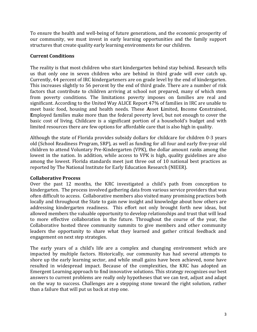To ensure the health and well-being of future generations, and the economic prosperity of our community, we must invest in early learning opportunities and the family support structures that create quality early learning environments for our children.

# **Current Conditions**

The reality is that most children who start kindergarten behind stay behind. Research tells us that only one in seven children who are behind in third grade will ever catch up. Currently, 44 percent of IRC kindergarteners are on grade level by the end of kindergarten. This increases slightly to 56 percent by the end of third grade. There are a number of risk factors that contribute to children arriving at school not prepared, many of which stem from poverty conditions. The limitations poverty imposes on families are real and significant. According to the United Way ALICE Report 47% of families in IRC are unable to meet basic food, housing and health needs. These **A**sset **L**imited, **I**ncome **C**onstrained, **E**mployed families make more than the federal poverty level, but not enough to cover the basic cost of living. Childcare is a significant portion of a household's budget and with limited resources there are few options for affordable care that is also high in quality.

Although the state of Florida provides subsidy dollars for childcare for children 0-3 years old (School Readiness Program, SRP), as well as funding for all four and early five-year old children to attend Voluntary Pre-Kindergarten (VPK), the dollar amount ranks among the lowest in the nation. In addition, while access to VPK is high, quality guidelines are also among the lowest. Florida standards meet just three out of 10 national best practices as reported by The National Institute for Early Education Research (NIEER).

# **Collaborative Process**

Over the past 12 months, the KRC investigated a child's path from conception to kindergarten. The process involved gathering data from various service providers that was often difficult to access. Collaborative members also visited many promising practices both locally and throughout the State to gain new insight and knowledge about how others are addressing kindergarten readiness. This effort not only brought forth new ideas, but allowed members the valuable opportunity to develop relationships and trust that will lead to more effective collaboration in the future. Throughout the course of the year, the Collaborative hosted three community summits to give members and other community leaders the opportunity to share what they learned and gather critical feedback and engagement on next step strategies.

The early years of a child's life are a complex and changing environment which are impacted by multiple factors. Historically, our community has had several attempts to shore up the early learning sector, and while small gains have been achieved, none have resulted in widespread impact. Because of the complexities, the KRC has adopted an Emergent Learning approach to find innovative solutions. This strategy recognizes our best answers to current problems are really only hypotheses that we can test, adjust and adapt on the way to success. Challenges are a stepping stone toward the right solution, rather than a failure that will put us back at step one.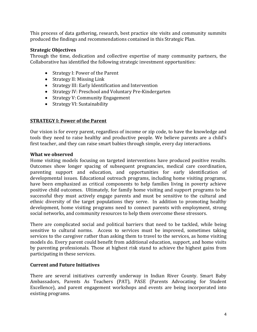This process of data gathering, research, best practice site visits and community summits produced the findings and recommendations contained in this Strategic Plan.

#### **Strategic Objectives**

Through the time, dedication and collective expertise of many community partners, the Collaborative has identified the following strategic investment opportunities:

- Strategy I: Power of the Parent
- Strategy II: Missing Link
- Strategy III: Early Identification and Intervention
- Strategy IV: Preschool and Voluntary Pre-Kindergarten
- Strategy V: Community Engagement
- Strategy VI: Sustainability

## **STRATEGY I: Power of the Parent**

Our vision is for every parent, regardless of income or zip code, to have the knowledge and tools they need to raise healthy and productive people. We believe parents are a child's first teacher, and they can raise smart babies through simple, every day interactions.

#### **What we observed**

Home visiting models focusing on targeted interventions have produced positive results. Outcomes show longer spacing of subsequent pregnancies, medical care coordination, parenting support and education, and opportunities for early identification of developmental issues. Educational outreach programs, including home visiting programs, have been emphasized as critical components to help families living in poverty achieve positive child outcomes. Ultimately, for family home visiting and support programs to be successful they must actively engage parents and must be sensitive to the cultural and ethnic diversity of the target populations they serve. In addition to promoting healthy development, home visiting programs need to connect parents with employment, strong social networks, and community resources to help them overcome these stressors.

There are complicated social and political barriers that need to be tackled, while being sensitive to cultural norms. Access to services must be improved, sometimes taking services to the caregiver rather than asking them to travel to the services, as home visiting models do. Every parent could benefit from additional education, support, and home visits by parenting professionals. Those at highest risk stand to achieve the highest gains from participating in these services.

## **Current and Future Initiatives**

There are several initiatives currently underway in Indian River County. Smart Baby Ambassadors, Parents As Teachers (PAT), PASE (Parents Advocating for Student Excellence), and parent engagement workshops and events are being incorporated into existing programs.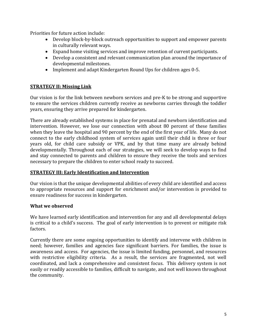Priorities for future action include:

- Develop block-by-block outreach opportunities to support and empower parents in culturally relevant ways.
- Expand home visiting services and improve retention of current participants.
- Develop a consistent and relevant communication plan around the importance of developmental milestones.
- Implement and adapt Kindergarten Round Ups for children ages 0-5.

# **STRATEGY II: Missing Link**

Our vision is for the link between newborn services and pre-K to be strong and supportive to ensure the services children currently receive as newborns carries through the toddler years, ensuring they arrive prepared for kindergarten.

There are already established systems in place for prenatal and newborn identification and intervention. However, we lose our connection with about 80 percent of these families when they leave the hospital and 90 percent by the end of the first year of life. Many do not connect to the early childhood system of services again until their child is three or four years old, for child care subsidy or VPK, and by that time many are already behind developmentally. Throughout each of our strategies, we will seek to develop ways to find and stay connected to parents and children to ensure they receive the tools and services necessary to prepare the children to enter school ready to succeed.

## **STRATEGY III: Early Identification and Intervention**

Our vision is that the unique developmental abilities of every child are identified and access to appropriate resources and support for enrichment and/or intervention is provided to ensure readiness for success in kindergarten.

# **What we observed**

We have learned early identification and intervention for any and all developmental delays is critical to a child's success. The goal of early intervention is to prevent or mitigate risk factors.

Currently there are some ongoing opportunities to identify and intervene with children in need; however, families and agencies face significant barriers. For families, the issue is awareness and access. For agencies, the issue is limited funding, personnel, and resources with restrictive eligibility criteria. As a result, the services are fragmented, not well coordinated, and lack a comprehensive and consistent focus. This delivery system is not easily or readily accessible to families, difficult to navigate, and not well known throughout the community.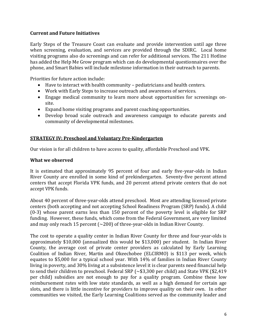## **Current and Future Initiatives**

Early Steps of the Treasure Coast can evaluate and provide intervention until age three when screening, evaluation, and services are provided through the SDIRC. Local home visiting programs also do screenings and can refer for additional services. The 211 Hotline has added the Help Me Grow program which can do developmental questionnaires over the phone, and Smart Babies will include milestone information in their outreach to parents.

Priorities for future action include:

- Have to interact with health community pediatricians and health centers.
- Work with Early Steps to increase outreach and awareness of services.
- Engage medical community to learn more about opportunities for screenings onsite.
- Expand home visiting programs and parent coaching opportunities.
- Develop broad scale outreach and awareness campaign to educate parents and community of developmental milestones.

## **STRATEGY IV: Preschool and Voluntary Pre-Kindergarten**

Our vision is for all children to have access to quality, affordable Preschool and VPK.

## **What we observed**

It is estimated that approximately 95 percent of four and early five-year-olds in Indian River County are enrolled in some kind of prekindergarten. Seventy-five percent attend centers that accept Florida VPK funds, and 20 percent attend private centers that do not accept VPK funds.

About 40 percent of three-year-olds attend preschool. Most are attending licensed private centers (both accepting and not accepting School Readiness Program (SRP) funds). A child (0-3) whose parent earns less than 150 percent of the poverty level is eligible for SRP funding. However, these funds, which come from the Federal Government, are very limited and may only reach 15 percent  $\sim$  200) of three-year-olds in Indian River County.

The cost to operate a quality center in Indian River County for three and four-year-olds is approximately \$10,000 (annualized this would be \$13,000) per student. In Indian River County, the average cost of private center providers as calculated by Early Learning Coalition of Indian River, Martin and Okeechobee (ELCIRMO) is \$113 per week, which equates to \$5,000 for a typical school year. With 14% of families in Indian River County living in poverty, and 30% living at a subsistence level it is clear parents need financial help to send their children to preschool. Federal SRP (~\$3,300 per child) and State VPK (\$2,419 per child) subsidies are not enough to pay for a quality program. Combine these low reimbursement rates with low state standards, as well as a high demand for certain age slots, and there is little incentive for providers to improve quality on their own. In other communities we visited, the Early Learning Coalitions served as the community leader and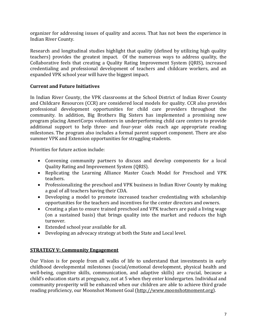organizer for addressing issues of quality and access. That has not been the experience in Indian River County.

Research and longitudinal studies highlight that quality (defined by utilizing high quality teachers) provides the greatest impact. Of the numerous ways to address quality, the Collaborative feels that creating a Quality Rating Improvement System (QRIS), increased credentialing and professional development of teachers and childcare workers, and an expanded VPK school year will have the biggest impact.

# **Current and Future Initiatives**

In Indian River County, the VPK classrooms at the School District of Indian River County and Childcare Resources (CCR) are considered local models for quality. CCR also provides professional development opportunities for child care providers throughout the community. In addition, Big Brothers Big Sisters has implemented a promising new program placing AmeriCorps volunteers in underperforming child care centers to provide additional support to help three- and four-year olds reach age appropriate reading milestones. The program also includes a formal parent support component. There are also summer VPK and Extension opportunities for struggling students.

Priorities for future action include:

- Convening community partners to discuss and develop components for a local Quality Rating and Improvement System (QRIS).
- Replicating the Learning Alliance Master Coach Model for Preschool and VPK teachers.
- Professionalizing the preschool and VPK business in Indian River County by making a goal of all teachers having their CDA.
- Developing a model to promote increased teacher credentialing with scholarship opportunities for the teachers and incentives for the center directors and owners.
- Creating a plan to ensure trained preschool and VPK teachers are paid a living wage (on a sustained basis) that brings quality into the market and reduces the high turnover.
- Extended school year available for all.
- Developing an advocacy strategy at both the State and Local level.

# **STRATEGY V: Community Engagement**

Our Vision is for people from all walks of life to understand that investments in early childhood developmental milestones (social/emotional development, physical health and well-being, cognitive skills, communication, and adaptive skills) are crucial, because a child's education starts at pregnancy, not at 5 when they enter kindergarten. Individual and community prosperity will be enhanced when our children are able to achieve third grade reading proficiency, our Moonshot Moment Goal [\(http://www.moonshotmoment.org\)](http://www.moonshotmoment.org/).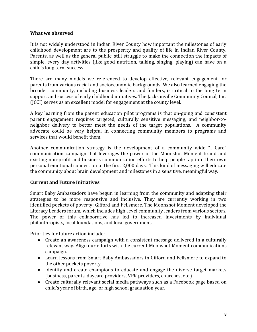#### **What we observed**

It is not widely understood in Indian River County how important the milestones of early childhood development are to the prosperity and quality of life in Indian River County. Parents, as well as the general public, still struggle to make the connection the impacts of simple, every day activities (like good nutrition, talking, singing, playing) can have on a child's long term success.

There are many models we referenced to develop effective, relevant engagement for parents from various racial and socioeconomic backgrounds. We also learned engaging the broader community, including business leaders and funders, is critical to the long term support and success of early childhood initiatives. The Jacksonville Community Council, Inc. (JCCI) serves as an excellent model for engagement at the county level.

A key learning from the parent education pilot programs is that on-going and consistent parent engagement requires targeted, culturally sensitive messaging, and neighbor-toneighbor delivery to better meet the needs of the target populations. A community advocate could be very helpful in connecting community members to programs and services that would benefit them.

Another communication strategy is the development of a community wide "I Care" communication campaign that leverages the power of the Moonshot Moment brand and existing non-profit and business communication efforts to help people tap into their own personal emotional connection to the first 2,000 days. This kind of messaging will educate the community about brain development and milestones in a sensitive, meaningful way.

## **Current and Future Initiatives**

Smart Baby Ambassadors have begun in learning from the community and adapting their strategies to be more responsive and inclusive. They are currently working in two identified pockets of poverty: Gifford and Fellsmere. The Moonshot Moment developed the Literacy Leaders forum, which includes high-level community leaders from various sectors. The power of this collaborative has led to increased investments by individual philanthropists, local foundations, and local government.

Priorities for future action include:

- Create an awareness campaign with a consistent message delivered in a culturally relevant way. Align our efforts with the current Moonshot Moment communications campaign.
- Learn lessons from Smart Baby Ambassadors in Gifford and Fellsmere to expand to the other pockets poverty.
- Identify and create champions to educate and engage the diverse target markets (business, parents, daycare providers, VPK providers, churches, etc.).
- Create culturally relevant social media pathways such as a Facebook page based on child's year of birth, age, or high school graduation year.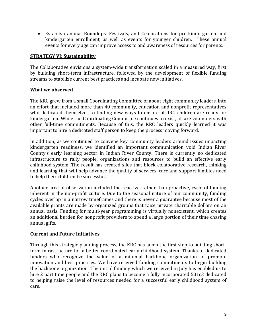Establish annual Roundups, Festivals, and Celebrations for pre-kindergarten and kindergarten enrollment, as well as events for younger children. These annual events for every age can improve access to and awareness of resources for parents.

## **STRATEGY VI: Sustainability**

The Collaborative envisions a system-wide transformation scaled in a measured way, first by building short-term infrastructure, followed by the development of flexible funding streams to stabilize current best practices and incubate new initiatives.

## **What we observed**

The KRC grew from a small Coordinating Committee of about eight community leaders, into an effort that included more than 40 community, education and nonprofit representatives who dedicated themselves to finding new ways to ensure all IRC children are ready for kindergarten. While the Coordinating Committee continues to exist, all are volunteers with other full-time commitments. Because of this, the KRC leaders quickly learned it was important to hire a dedicated staff person to keep the process moving forward.

In addition, as we continued to convene key community leaders around issues impacting kindergarten readiness, we identified an important communication void Indian River County's early learning sector in Indian River County. There is currently no dedicated infrastructure to rally people, organizations and resources to build an effective early childhood system. The result has created silos that block collaborative research, thinking and learning that will help advance the quality of services, care and support families need to help their children be successful.

Another area of observation included the reactive, rather than proactive, cycle of funding inherent in the non-profit culture. Due to the seasonal nature of our community, funding cycles overlap in a narrow timeframes and there is never a guarantee because most of the available grants are made by organized groups that raise private charitable dollars on an annual basis. Funding for multi-year programming is virtually nonexistent, which creates an additional burden for nonprofit providers to spend a large portion of their time chasing annual gifts.

# **Current and Future Initiatives**

Through this strategic planning process, the KRC has taken the first step to building shortterm infrastructure for a better coordinated early childhood system. Thanks to dedicated funders who recognize the value of a minimal backbone organization to promote innovation and best practices. We have received funding commitments to begin building the backbone organization The initial funding which we received in July has enabled us to hire 2 part time people and the KRC plans to become a fully incorporated 501c3 dedicated to helping raise the level of resources needed for a successful early childhood system of care.